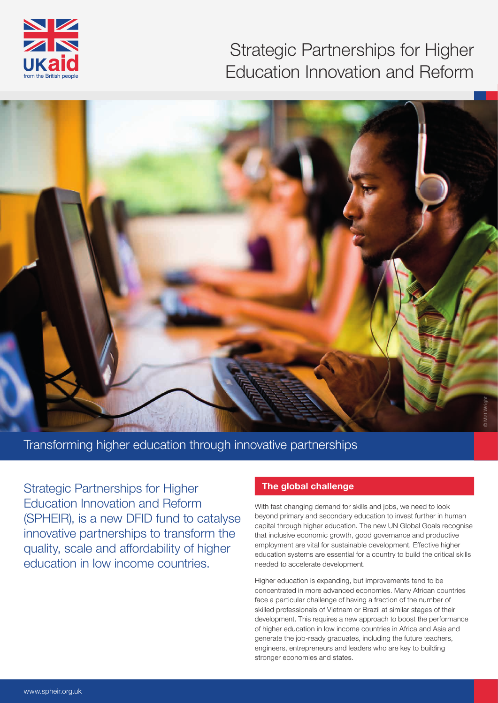

# Strategic Partnerships for Higher Education Innovation and Reform



Transforming higher education through innovative partnerships

Strategic Partnerships for Higher Education Innovation and Reform (SPHEIR), is a new DFID fund to catalyse innovative partnerships to transform the quality, scale and afordability of higher education in low income countries.

#### **The global challenge**

With fast changing demand for skills and jobs, we need to look beyond primary and secondary education to invest further in human capital through higher education. The new UN Global Goals recognise that inclusive economic growth, good governance and productive employment are vital for sustainable development. Efective higher education systems are essential for a country to build the critical skills needed to accelerate development.

Higher education is expanding, but improvements tend to be concentrated in more advanced economies. Many African countries face a particular challenge of having a fraction of the number of skilled professionals of Vietnam or Brazil at similar stages of their development. This requires a new approach to boost the performance of higher education in low income countries in Africa and Asia and generate the job-ready graduates, including the future teachers, engineers, entrepreneurs and leaders who are key to building stronger economies and states.